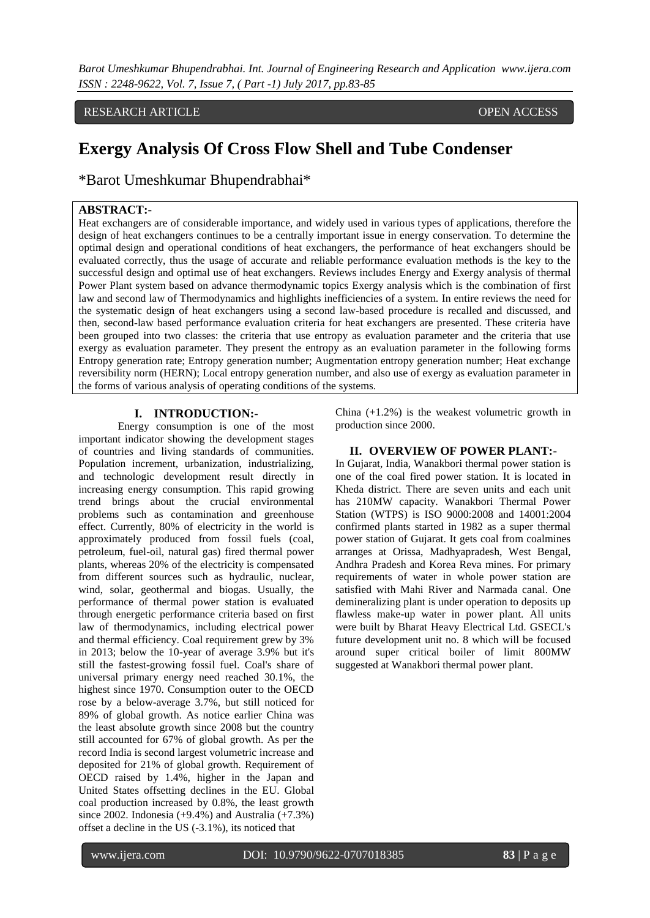*Barot Umeshkumar Bhupendrabhai. Int. Journal of Engineering Research and Application www.ijera.com ISSN : 2248-9622, Vol. 7, Issue 7, ( Part -1) July 2017, pp.83-85*

RESEARCH ARTICLE **OPEN ACCESS** 

# **Exergy Analysis Of Cross Flow Shell and Tube Condenser**

\*Barot Umeshkumar Bhupendrabhai\*

# **ABSTRACT:-**

Heat exchangers are of considerable importance, and widely used in various types of applications, therefore the design of heat exchangers continues to be a centrally important issue in energy conservation. To determine the optimal design and operational conditions of heat exchangers, the performance of heat exchangers should be evaluated correctly, thus the usage of accurate and reliable performance evaluation methods is the key to the successful design and optimal use of heat exchangers. Reviews includes Energy and Exergy analysis of thermal Power Plant system based on advance thermodynamic topics Exergy analysis which is the combination of first law and second law of Thermodynamics and highlights inefficiencies of a system. In entire reviews the need for the systematic design of heat exchangers using a second law-based procedure is recalled and discussed, and then, second-law based performance evaluation criteria for heat exchangers are presented. These criteria have been grouped into two classes: the criteria that use entropy as evaluation parameter and the criteria that use exergy as evaluation parameter. They present the entropy as an evaluation parameter in the following forms Entropy generation rate; Entropy generation number; Augmentation entropy generation number; Heat exchange reversibility norm (HERN); Local entropy generation number, and also use of exergy as evaluation parameter in the forms of various analysis of operating conditions of the systems.

#### **I. INTRODUCTION:-**

Energy consumption is one of the most important indicator showing the development stages of countries and living standards of communities. Population increment, urbanization, industrializing, and technologic development result directly in increasing energy consumption. This rapid growing trend brings about the crucial environmental problems such as contamination and greenhouse effect. Currently, 80% of electricity in the world is approximately produced from fossil fuels (coal, petroleum, fuel-oil, natural gas) fired thermal power plants, whereas 20% of the electricity is compensated from different sources such as hydraulic, nuclear, wind, solar, geothermal and biogas. Usually, the performance of thermal power station is evaluated through energetic performance criteria based on first law of thermodynamics, including electrical power and thermal efficiency. Coal requirement grew by 3% in 2013; below the 10-year of average 3.9% but it's still the fastest-growing fossil fuel. Coal's share of universal primary energy need reached 30.1%, the highest since 1970. Consumption outer to the OECD rose by a below-average 3.7%, but still noticed for 89% of global growth. As notice earlier China was the least absolute growth since 2008 but the country still accounted for 67% of global growth. As per the record India is second largest volumetric increase and deposited for 21% of global growth. Requirement of OECD raised by 1.4%, higher in the Japan and United States offsetting declines in the EU. Global coal production increased by 0.8%, the least growth since 2002. Indonesia (+9.4%) and Australia (+7.3%) offset a decline in the US (-3.1%), its noticed that

China  $(+1.2\%)$  is the weakest volumetric growth in production since 2000.

## **II. OVERVIEW OF POWER PLANT:-**

In Gujarat, India, Wanakbori thermal power station is one of the coal fired power station. It is located in Kheda district. There are seven units and each unit has 210MW capacity. Wanakbori Thermal Power Station (WTPS) is ISO 9000:2008 and 14001:2004 confirmed plants started in 1982 as a super thermal power station of Gujarat. It gets coal from coalmines arranges at Orissa, Madhyapradesh, West Bengal, Andhra Pradesh and Korea Reva mines. For primary requirements of water in whole power station are satisfied with Mahi River and Narmada canal. One demineralizing plant is under operation to deposits up flawless make-up water in power plant. All units were built by Bharat Heavy Electrical Ltd. GSECL's future development unit no. 8 which will be focused around super critical boiler of limit 800MW suggested at Wanakbori thermal power plant.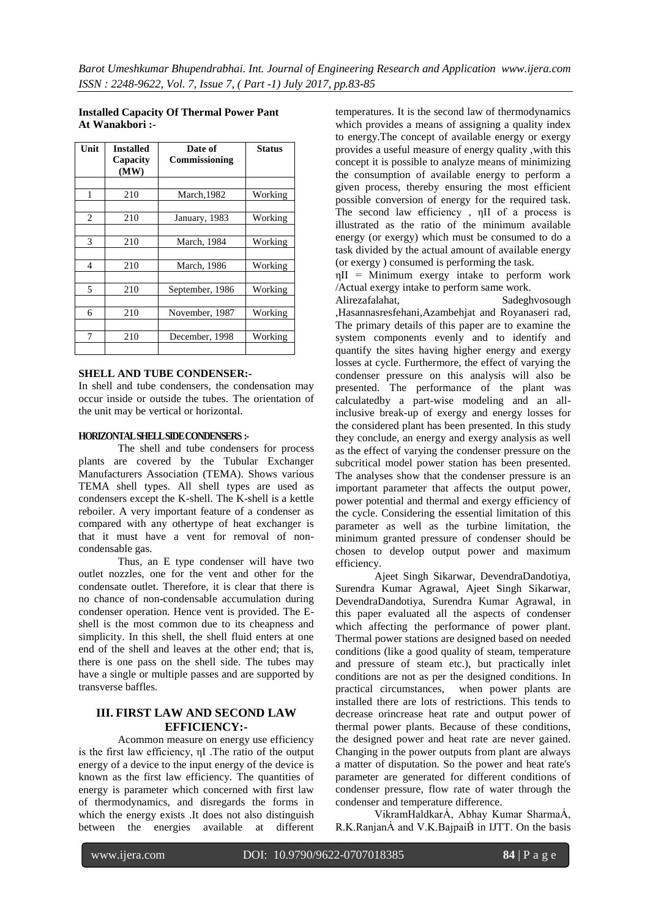| Unit | <b>Installed</b><br>Capacity | Date of<br>Commissioning | <b>Status</b> |
|------|------------------------------|--------------------------|---------------|
|      | (MW)                         |                          |               |
| 1    | 210                          | March, 1982              | Working       |
| 2    | 210                          | January, 1983            | Working       |
| 3    | 210                          | March, 1984              | Working       |
| 4    | 210                          | March, 1986              | Working       |
| 5    | 210                          | September, 1986          | Working       |
| 6    | 210                          | November, 1987           | Working       |
| 7    | 210                          | December, 1998           | Working       |
|      |                              |                          |               |

#### **Installed Capacity Of Thermal Power Pant At Wanakbori :-**

#### **SHELL AND TUBE CONDENSER:-**

In shell and tube condensers, the condensation may occur inside or outside the tubes. The orientation of the unit may be vertical or horizontal.

#### **HORIZONTAL SHELL SIDE CONDENSERS :-**

The shell and tube condensers for process plants are covered by the Tubular Exchanger Manufacturers Association (TEMA). Shows various TEMA shell types. All shell types are used as condensers except the K-shell. The K-shell is a kettle reboiler. A very important feature of a condenser as compared with any othertype of heat exchanger is that it must have a vent for removal of noncondensable gas.

Thus, an E type condenser will have two outlet nozzles, one for the vent and other for the condensate outlet. Therefore, it is clear that there is no chance of non-condensable accumulation during condenser operation. Hence vent is provided. The Eshell is the most common due to its cheapness and simplicity. In this shell, the shell fluid enters at one end of the shell and leaves at the other end; that is, there is one pass on the shell side. The tubes may have a single or multiple passes and are supported by transverse baffles.

#### **III. FIRST LAW AND SECOND LAW EFFICIENCY:-**

Acommon measure on energy use efficiency is the first law efficiency, ηI .The ratio of the output energy of a device to the input energy of the device is known as the first law efficiency. The quantities of energy is parameter which concerned with first law of thermodynamics, and disregards the forms in which the energy exists .It does not also distinguish between the energies available at different

temperatures. It is the second law of thermodynamics which provides a means of assigning a quality index to energy.The concept of available energy or exergy provides a useful measure of energy quality ,with this concept it is possible to analyze means of minimizing the consumption of available energy to perform a given process, thereby ensuring the most efficient possible conversion of energy for the required task. The second law efficiency , ηII of a process is illustrated as the ratio of the minimum available energy (or exergy) which must be consumed to do a task divided by the actual amount of available energy (or exergy ) consumed is performing the task.

 $\eta$ II = Minimum exergy intake to perform work /Actual exergy intake to perform same work.

Alirezafalahat, Sadeghvosough ,Hasannasresfehani,Azambehjat and Royanaseri rad, The primary details of this paper are to examine the system components evenly and to identify and quantify the sites having higher energy and exergy losses at cycle. Furthermore, the effect of varying the condenser pressure on this analysis will also be presented. The performance of the plant was calculatedby a part-wise modeling and an allinclusive break-up of exergy and energy losses for the considered plant has been presented. In this study they conclude, an energy and exergy analysis as well as the effect of varying the condenser pressure on the subcritical model power station has been presented. The analyses show that the condenser pressure is an important parameter that affects the output power, power potential and thermal and exergy efficiency of the cycle. Considering the essential limitation of this parameter as well as the turbine limitation, the minimum granted pressure of condenser should be chosen to develop output power and maximum efficiency.

Ajeet Singh Sikarwar, DevendraDandotiya, Surendra Kumar Agrawal, Ajeet Singh Sikarwar, DevendraDandotiya, Surendra Kumar Agrawal, in this paper evaluated all the aspects of condenser which affecting the performance of power plant. Thermal power stations are designed based on needed conditions (like a good quality of steam, temperature and pressure of steam etc.), but practically inlet conditions are not as per the designed conditions. In practical circumstances, when power plants are installed there are lots of restrictions. This tends to decrease orincrease heat rate and output power of thermal power plants. Because of these conditions, the designed power and heat rate are never gained. Changing in the power outputs from plant are always a matter of disputation. So the power and heat rate's parameter are generated for different conditions of condenser pressure, flow rate of water through the condenser and temperature difference.

VikramHaldkarÅ, Abhay Kumar SharmaÅ, R.K.RanjanÅ and V.K.Bajpai₿ in IJTT. On the basis